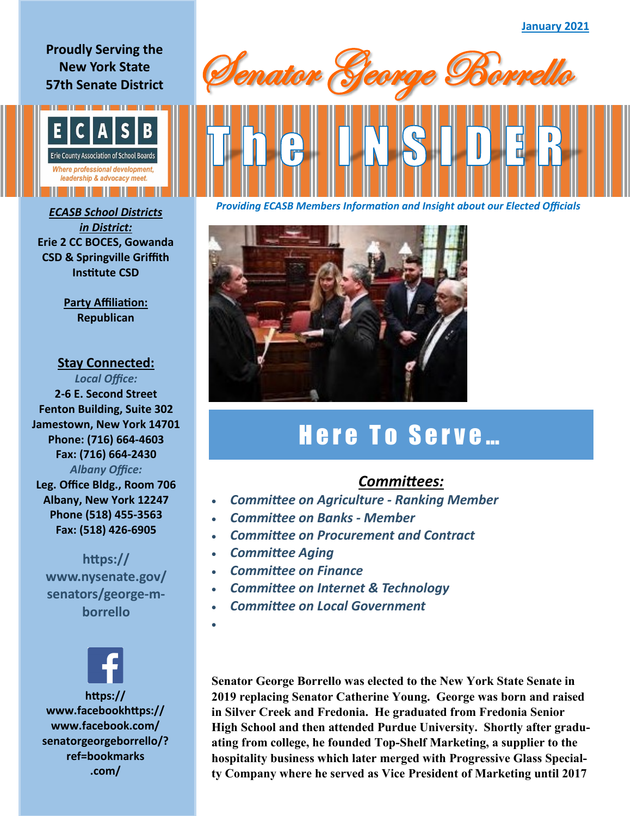## **Proudly Serving the New York State 57th Senate District**



*in District:* **Erie 2 CC BOCES, Gowanda CSD & Springville Griffith Institute CSD**

> **Party Affiliation: Republican**

## **Stay Connected:**

*Local Office:* **2-6 E. Second Street Fenton Building, Suite 302 Jamestown, New York 14701 Phone: (716) 664-4603 Fax: (716) 664-2430** *Albany Office:*  **Leg. Office Bldg., Room 706 Albany, New York 12247 Phone (518) 455-3563**

**Fax: (518) 426-6905 https:// www.nysenate.gov/**

**senators/george-mborrello**



**www.facebookhttps:// www.facebook.com/ senatorgeorgeborrello/? ref=bookmarks .com/**



*Providing ECASB Members Information and Insight about our Elected Officials ECASB School Districts* 



## Here To Serve...

## *Committees:*

- *Committee on Agriculture - Ranking Member*
- *Committee on Banks - Member*
- *Committee on Procurement and Contract*
- *Committee Aging*
- *Committee on Finance*
- *Committee on Internet & Technology*
- *Committee on Local Government*
- •

**Senator George Borrello was elected to the New York State Senate in 2019 replacing Senator Catherine Young. George was born and raised in Silver Creek and Fredonia. He graduated from Fredonia Senior High School and then attended Purdue University. Shortly after graduating from college, he founded Top-Shelf Marketing, a supplier to the hospitality business which later merged with Progressive Glass Specialty Company where he served as Vice President of Marketing until 2017**